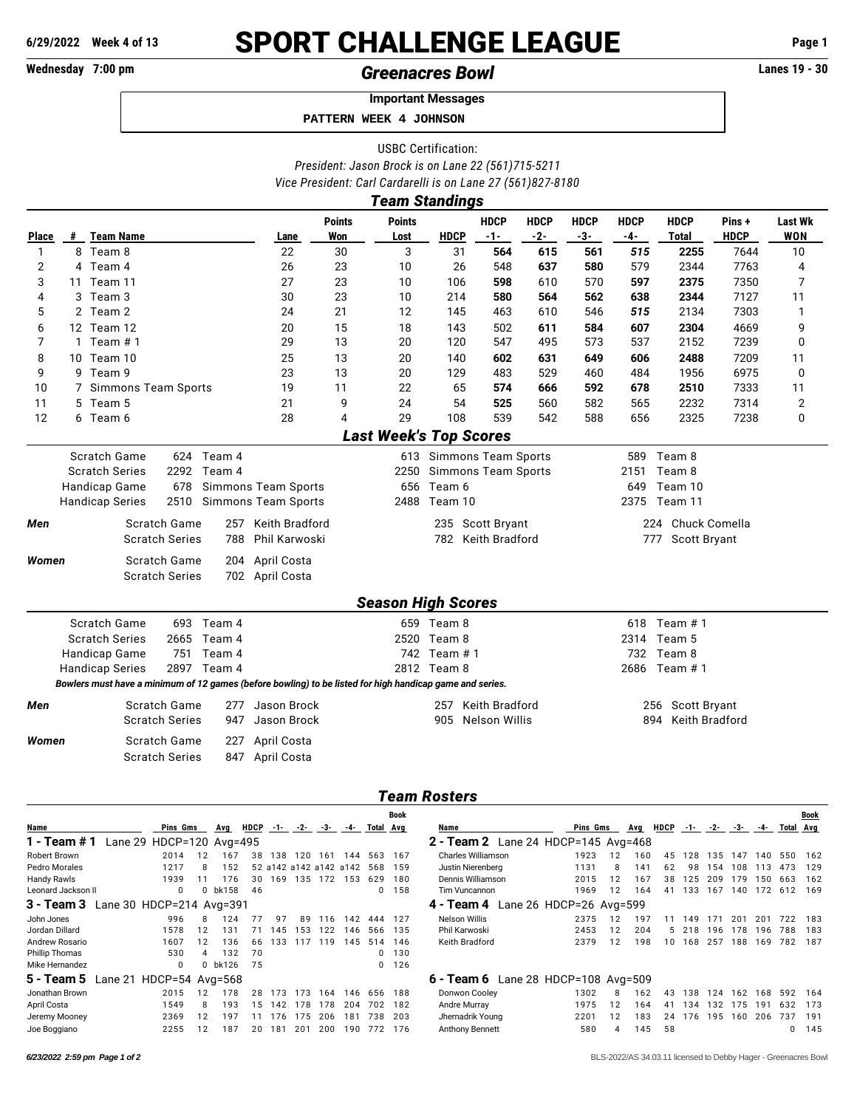# **6/29/2022** Week 4 of 13 **SPORT CHALLENGE LEAGUE** Page 1<br>Wednesday 7:00 pm<br>**Greenacres Rowl** Generactives Rowl

# Wednesday 7:00 pm<br> **Creenacres Bowl**

**Important Messages**

 **PATTERN WEEK 4 JOHNSON**

USBC Certification: *President: Jason Brock is on Lane 22 (561)715-5211 Vice President: Carl Cardarelli is on Lane 27 (561)827-8180*

|              |                              |                                                                                                          |                                              |             |                                |                                               | <b>Team Standings</b>         |              |                                        |                    |                      |                    |                                                  |                      |                              |  |  |  |
|--------------|------------------------------|----------------------------------------------------------------------------------------------------------|----------------------------------------------|-------------|--------------------------------|-----------------------------------------------|-------------------------------|--------------|----------------------------------------|--------------------|----------------------|--------------------|--------------------------------------------------|----------------------|------------------------------|--|--|--|
| <b>Place</b> |                              | # Team Name                                                                                              |                                              |             | Lane                           | <b>Points</b><br>Won                          | <b>Points</b><br>Lost         | <b>HDCP</b>  | <b>HDCP</b><br>$-1-$                   | <b>HDCP</b><br>-2- | <b>HDCP</b><br>$-3-$ | <b>HDCP</b><br>-4- | <b>HDCP</b><br><b>Total</b>                      | Pins+<br><b>HDCP</b> | <b>Last Wk</b><br><b>WON</b> |  |  |  |
| 1            |                              | 8 Team 8                                                                                                 |                                              |             | 22                             | 30                                            | 3                             | 31           | 564                                    | 615                | 561                  | 515                | 2255                                             | 7644                 | 10                           |  |  |  |
| 2            |                              | 4 Team 4                                                                                                 |                                              |             | 26                             | 23                                            | 10                            | 26           | 548                                    | 637                | 580                  | 579                | 2344                                             | 7763                 | 4                            |  |  |  |
| 3            |                              | 11 Team 11                                                                                               |                                              |             | 27                             | 23                                            | 10                            | 106          | 598                                    | 610                | 570                  | 597                | 2375                                             | 7350                 | 7                            |  |  |  |
| 4            | 3                            | Team 3                                                                                                   |                                              |             | 30                             | 23                                            | 10                            | 214          | 580                                    | 564                | 562                  | 638                | 2344                                             | 7127                 | 11                           |  |  |  |
| 5            |                              | 2 Team 2                                                                                                 |                                              |             | 24                             | 21                                            | 12                            | 145          | 463                                    | 610                | 546                  | 515                | 2134                                             | 7303                 | 1                            |  |  |  |
| 6            |                              | 12 Team 12                                                                                               |                                              |             | 20                             | 15                                            | 18                            | 143          | 502                                    | 611                | 584                  | 607                | 2304                                             | 4669                 | 9                            |  |  |  |
| 7            | $\mathbf{1}$                 | Team #1                                                                                                  |                                              |             | 29                             | 13                                            | 20                            | 120          | 547                                    | 495                | 573                  | 537                | 2152                                             | 7239                 | 0                            |  |  |  |
| 8            |                              | 10 Team 10                                                                                               |                                              |             | 25                             | 13                                            | 20                            | 140          | 602                                    | 631                | 649                  | 606                | 2488                                             | 7209                 | 11                           |  |  |  |
| 9            |                              | 9 Team 9                                                                                                 |                                              |             | 23                             | 13                                            | 20                            | 129          | 483                                    | 529                | 460                  | 484                | 1956                                             | 6975                 | 0                            |  |  |  |
| 10           |                              | 7 Simmons Team Sports                                                                                    |                                              |             | 19                             | 11                                            | 22                            | 65           | 574                                    | 666                | 592                  | 678                | 2510                                             | 7333                 | 11                           |  |  |  |
| 11           |                              | 5 Team 5                                                                                                 |                                              |             | 21                             | 9                                             | 24                            | 54           | 525                                    | 560                | 582                  | 565                | 2232                                             | 7314                 | 2                            |  |  |  |
| 12           |                              | 6 Team 6                                                                                                 |                                              |             | 28                             | 4                                             | 29                            | 108          | 539                                    | 542                | 588                  | 656                | 2325                                             | 7238                 | 0                            |  |  |  |
|              |                              |                                                                                                          |                                              |             |                                |                                               | <b>Last Week's Top Scores</b> |              |                                        |                    |                      |                    |                                                  |                      |                              |  |  |  |
|              |                              | <b>Scratch Game</b>                                                                                      |                                              | 624 Team 4  |                                |                                               |                               |              | 613 Simmons Team Sports                |                    |                      |                    | 589 Team 8                                       |                      |                              |  |  |  |
|              |                              | <b>Scratch Series</b>                                                                                    |                                              | 2292 Team 4 |                                |                                               | 2250                          |              | <b>Simmons Team Sports</b>             |                    |                      | 2151               | Team 8                                           |                      |                              |  |  |  |
|              |                              | Handicap Game                                                                                            | 678                                          |             | <b>Simmons Team Sports</b>     |                                               |                               | 656 Team 6   |                                        |                    |                      | 649                | Team 10                                          |                      |                              |  |  |  |
|              |                              | <b>Handicap Series</b>                                                                                   | 2510                                         |             | Simmons Team Sports            |                                               |                               | 2488 Team 10 |                                        |                    |                      |                    | 2375 Team 11                                     |                      |                              |  |  |  |
| Men          |                              |                                                                                                          | <b>Scratch Game</b>                          | 257         | Keith Bradford                 |                                               |                               |              | 235 Scott Bryant                       |                    |                      |                    | 224 Chuck Comella                                |                      |                              |  |  |  |
|              | <b>Scratch Series</b><br>788 |                                                                                                          |                                              |             |                                | Keith Bradford<br>Phil Karwoski<br>782<br>777 |                               |              |                                        |                    |                      |                    |                                                  | Scott Bryant         |                              |  |  |  |
| Women        |                              |                                                                                                          | Scratch Game                                 |             | 204 April Costa                |                                               |                               |              |                                        |                    |                      |                    |                                                  |                      |                              |  |  |  |
|              |                              |                                                                                                          | <b>Scratch Series</b>                        |             | 702 April Costa                |                                               |                               |              |                                        |                    |                      |                    |                                                  |                      |                              |  |  |  |
|              |                              |                                                                                                          |                                              |             |                                |                                               | <b>Season High Scores</b>     |              |                                        |                    |                      |                    |                                                  |                      |                              |  |  |  |
|              |                              | <b>Scratch Game</b>                                                                                      |                                              | 693 Team 4  |                                |                                               |                               | 659 Team 8   |                                        |                    |                      | 618                | Team $# 1$                                       |                      |                              |  |  |  |
|              |                              | <b>Scratch Series</b>                                                                                    | 2665                                         | Team 4      |                                |                                               |                               | 2520 Team 8  |                                        |                    |                      | 2314               | Team 5                                           |                      |                              |  |  |  |
|              |                              | Handicap Game                                                                                            | 751                                          | Team 4      |                                |                                               |                               | 742 Team # 1 |                                        |                    |                      | 732                | Team 8                                           |                      |                              |  |  |  |
|              |                              | <b>Handicap Series</b>                                                                                   | 2897                                         | Team 4      |                                |                                               |                               | 2812 Team 8  |                                        |                    |                      | 2686               | Team #1                                          |                      |                              |  |  |  |
|              |                              | Bowlers must have a minimum of 12 games (before bowling) to be listed for high handicap game and series. |                                              |             |                                |                                               |                               |              |                                        |                    |                      |                    |                                                  |                      |                              |  |  |  |
|              |                              |                                                                                                          |                                              |             |                                |                                               |                               |              |                                        |                    |                      |                    |                                                  |                      |                              |  |  |  |
| Men          |                              |                                                                                                          | Scratch Game<br><b>Scratch Series</b>        | 277<br>947  | Jason Brock<br>Jason Brock     |                                               |                               | 257<br>905   | Keith Bradford<br><b>Nelson Willis</b> |                    |                      |                    | 256 Scott Bryant<br><b>Keith Bradford</b><br>894 |                      |                              |  |  |  |
|              |                              |                                                                                                          |                                              |             |                                |                                               |                               |              |                                        |                    |                      |                    |                                                  |                      |                              |  |  |  |
| Women        |                              |                                                                                                          | <b>Scratch Game</b><br><b>Scratch Series</b> | 227         | April Costa<br>847 April Costa |                                               |                               |              |                                        |                    |                      |                    |                                                  |                      |                              |  |  |  |

## *Team Rosters*

|                    |                          |                            |    |         |             |       |                        |       |     |              | <b>Book</b> |                                               |          |    |     |             |       |     |     |              |           | <b>Book</b> |
|--------------------|--------------------------|----------------------------|----|---------|-------------|-------|------------------------|-------|-----|--------------|-------------|-----------------------------------------------|----------|----|-----|-------------|-------|-----|-----|--------------|-----------|-------------|
| Name               |                          | Pins Gms                   |    | Avg     | <b>HDCP</b> | $-1-$ | $-2$                   | $3 -$ | -4- | Total Avg    |             | Name                                          | Pins Gms |    | Avg | <b>HDCP</b> | $-1-$ | -2- | -3- | -4-          | Total Avg |             |
| 1 - Team # 1       |                          | Lane 29 $HDCP=120$ Avg=495 |    |         |             |       |                        |       |     |              |             | 2 - Team 2 Lane 24 HDCP=145 Avg=468           |          |    |     |             |       |     |     |              |           |             |
| Robert Brown       |                          | 2014                       | 12 | 167     | 38          | 138   | 120                    | 161   | 144 | 563          | 167         | <b>Charles Williamson</b>                     | 1923     | 12 | 160 | 45          | 128   | 135 | 147 | 140          | 550       | 162         |
| Pedro Morales      |                          | 1217                       |    | 152     |             |       | 52 a142 a142 a142 a142 |       |     | 568          | 159         | Justin Nierenberg                             | 1131     | 8  | 141 | 62          | 98    | 154 | 108 | 113          | 473       | 129         |
| Handy Rawls        |                          | 1939                       |    | 176     | 30          | 169   | 135                    | 172   | 153 | 629          | 180         | Dennis Williamson                             | 2015     | 12 | 167 | 38          | 125   | 209 | 179 | 150          | 663       | 162         |
| Leonard Jackson II |                          | 0                          |    | 0 bk158 | 46          |       |                        |       |     | 0            | 158         | Tim Vuncannon                                 | 1969     | 12 | 164 | 41          | 133   | 167 | 140 | 172          | 612       | 169         |
| 3 - Team 3         | Lane 30 HDCP=214 Avg=391 |                            |    |         |             |       |                        |       |     |              |             | Lane $26$ HDCP= $26$ Avg= $599$<br>4 - Team 4 |          |    |     |             |       |     |     |              |           |             |
| John Jones         |                          | 996                        |    | 124     |             | 97    | 89                     | 116   | 142 | 444          | 127         | Nelson Willis                                 | 2375     |    | 197 |             | 149   |     | 201 | $20^{\circ}$ | 722       | 183         |
| Jordan Dillard     |                          | 1578                       | 12 | 131     |             | 145   | 153                    | 122   | 146 | 566          | 135         | Phil Karwoski                                 | 2453     | 12 | 204 | 5           | 218   | 196 | 178 | 196          | 788       | 183         |
| Andrew Rosario     |                          | 1607                       | 12 | 136     | 66          | 133   | 117                    | 119   | 145 | 514          | 146         | Keith Bradford                                | 2379     | 12 | 198 | 10          | 168   | 257 | 188 | 169          | 782       | 187         |
| Phillip Thomas     |                          | 530                        | 4  | 132     | 70          |       |                        |       |     | 0            | 130         |                                               |          |    |     |             |       |     |     |              |           |             |
| Mike Hernandez     |                          | 0                          |    | 0 bk126 | 75          |       |                        |       |     | $\mathbf{0}$ | 126         |                                               |          |    |     |             |       |     |     |              |           |             |
| 5 - Team 5         | Lane 21 HDCP=54 Avg=568  |                            |    |         |             |       |                        |       |     |              |             | 6 - Team 6 Lane 28 HDCP=108 Avg=509           |          |    |     |             |       |     |     |              |           |             |
| Jonathan Brown     |                          | 2015                       | 12 | 178     | 28          | 173   | 173                    | 164   | 146 | 656          | 188         | Donwon Cooley                                 | 1302     |    | 162 | 43          | 138   | 124 | 162 | 168          | 592       | 164         |
| April Costa        |                          | 1549                       |    | 193     | 15          | 142   | 178                    | 178   | 204 | 702          | 182         | Andre Murray                                  | 1975     | 12 | 164 | 41          | 134   | 132 | 175 | 191          | 632       | 173         |
| Jeremy Mooney      |                          | 2369                       | 12 | 197     |             | 176   | 175                    | 206   | 181 | 738          | 203         | Jhernadrik Young                              | 2201     | 12 | 183 | 24          | 176   | 195 | 160 | 206          | 737       | 191         |
| Joe Boggiano       |                          | 2255                       | 12 | 187     | 20          | 181   | 201                    | 200   | 190 | 772          | 176         | <b>Anthony Bennett</b>                        | 580      | 4  | 145 | 58          |       |     |     |              |           | $0$ 145     |